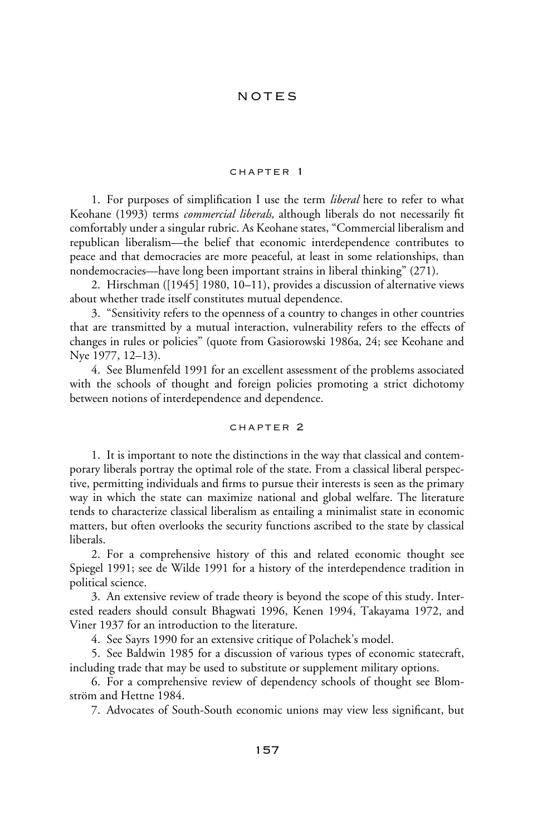## notes

### chapter 1

1. For purposes of simplification I use the term *liberal* here to refer to what Keohane (1993) terms *commercial liberals*, although liberals do not necessarily fit comfortably under a singular rubric. As Keohane states, "Commercial liberalism and republican liberalism—the belief that economic interdependence contributes to peace and that democracies are more peaceful, at least in some relationships, than nondemocracies—have long been important strains in liberal thinking" (271).

2. Hirschman ([1945] 1980, 10–11), provides a discussion of alternative views about whether trade itself constitutes mutual dependence.

3. "Sensitivity refers to the openness of a country to changes in other countries that are transmitted by a mutual interaction, vulnerability refers to the effects of changes in rules or policies" (quote from Gasiorowski 1986a, 24; see Keohane and Nye 1977, 12–13).

4. See Blumenfeld 1991 for an excellent assessment of the problems associated with the schools of thought and foreign policies promoting a strict dichotomy between notions of interdependence and dependence.

### chapter 2

1. It is important to note the distinctions in the way that classical and contemporary liberals portray the optimal role of the state. From a classical liberal perspective, permitting individuals and firms to pursue their interests is seen as the primary way in which the state can maximize national and global welfare. The literature tends to characterize classical liberalism as entailing a minimalist state in economic matters, but often overlooks the security functions ascribed to the state by classical liberals.

2. For a comprehensive history of this and related economic thought see Spiegel 1991; see de Wilde 1991 for a history of the interdependence tradition in political science.

3. An extensive review of trade theory is beyond the scope of this study. Interested readers should consult Bhagwati 1996, Kenen 1994, Takayama 1972, and Viner 1937 for an introduction to the literature.

4. See Sayrs 1990 for an extensive critique of Polachek's model.

5. See Baldwin 1985 for a discussion of various types of economic statecraft, including trade that may be used to substitute or supplement military options.

6. For a comprehensive review of dependency schools of thought see Blomström and Hettne 1984.

7. Advocates of South-South economic unions may view less significant, but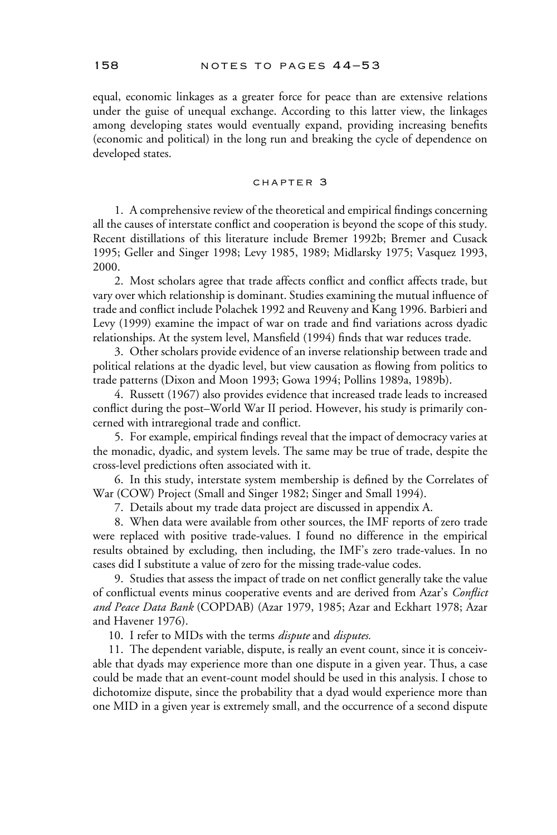equal, economic linkages as a greater force for peace than are extensive relations under the guise of unequal exchange. According to this latter view, the linkages among developing states would eventually expand, providing increasing benefits (economic and political) in the long run and breaking the cycle of dependence on developed states.

# chapter 3

1. A comprehensive review of the theoretical and empirical findings concerning all the causes of interstate conflict and cooperation is beyond the scope of this study. Recent distillations of this literature include Bremer 1992b; Bremer and Cusack 1995; Geller and Singer 1998; Levy 1985, 1989; Midlarsky 1975; Vasquez 1993, 2000.

2. Most scholars agree that trade affects conflict and conflict affects trade, but vary over which relationship is dominant. Studies examining the mutual influence of trade and conflict include Polachek 1992 and Reuveny and Kang 1996. Barbieri and Levy (1999) examine the impact of war on trade and find variations across dyadic relationships. At the system level, Mansfield (1994) finds that war reduces trade.

3. Other scholars provide evidence of an inverse relationship between trade and political relations at the dyadic level, but view causation as flowing from politics to trade patterns (Dixon and Moon 1993; Gowa 1994; Pollins 1989a, 1989b).

4. Russett (1967) also provides evidence that increased trade leads to increased conflict during the post–World War II period. However, his study is primarily concerned with intraregional trade and conflict.

5. For example, empirical findings reveal that the impact of democracy varies at the monadic, dyadic, and system levels. The same may be true of trade, despite the cross-level predictions often associated with it.

6. In this study, interstate system membership is defined by the Correlates of War (COW) Project (Small and Singer 1982; Singer and Small 1994).

7. Details about my trade data project are discussed in appendix A.

8. When data were available from other sources, the IMF reports of zero trade were replaced with positive trade-values. I found no difference in the empirical results obtained by excluding, then including, the IMF's zero trade-values. In no cases did I substitute a value of zero for the missing trade-value codes.

9. Studies that assess the impact of trade on net conflict generally take the value of conflictual events minus cooperative events and are derived from Azar's *Conflict and Peace Data Bank* (COPDAB) (Azar 1979, 1985; Azar and Eckhart 1978; Azar and Havener 1976).

10. I refer to MIDs with the terms *dispute* and *disputes.*

11. The dependent variable, dispute, is really an event count, since it is conceivable that dyads may experience more than one dispute in a given year. Thus, a case could be made that an event-count model should be used in this analysis. I chose to dichotomize dispute, since the probability that a dyad would experience more than one MID in a given year is extremely small, and the occurrence of a second dispute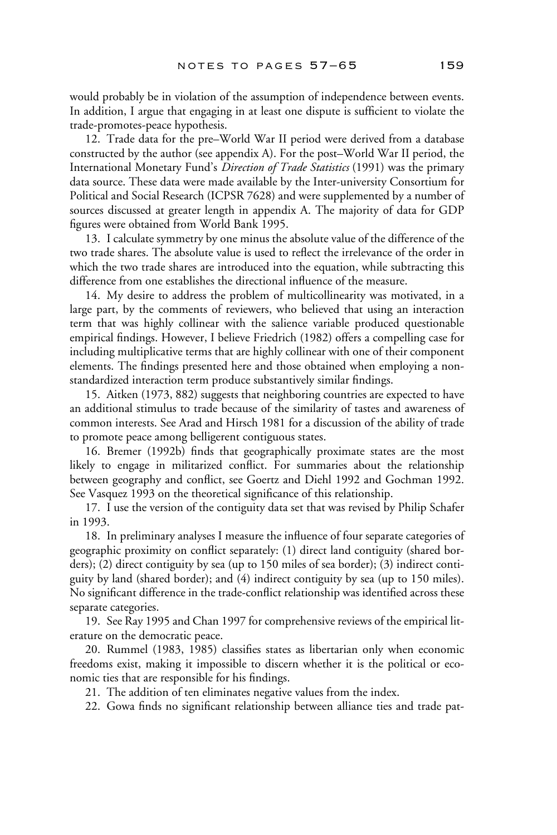would probably be in violation of the assumption of independence between events. In addition, I argue that engaging in at least one dispute is sufficient to violate the trade-promotes-peace hypothesis.

12. Trade data for the pre–World War II period were derived from a database constructed by the author (see appendix A). For the post–World War II period, the International Monetary Fund's *Direction of Trade Statistics* (1991) was the primary data source. These data were made available by the Inter-university Consortium for Political and Social Research (ICPSR 7628) and were supplemented by a number of sources discussed at greater length in appendix A. The majority of data for GDP figures were obtained from World Bank 1995.

13. I calculate symmetry by one minus the absolute value of the difference of the two trade shares. The absolute value is used to reflect the irrelevance of the order in which the two trade shares are introduced into the equation, while subtracting this difference from one establishes the directional influence of the measure.

14. My desire to address the problem of multicollinearity was motivated, in a large part, by the comments of reviewers, who believed that using an interaction term that was highly collinear with the salience variable produced questionable empirical findings. However, I believe Friedrich (1982) offers a compelling case for including multiplicative terms that are highly collinear with one of their component elements. The findings presented here and those obtained when employing a nonstandardized interaction term produce substantively similar findings.

15. Aitken (1973, 882) suggests that neighboring countries are expected to have an additional stimulus to trade because of the similarity of tastes and awareness of common interests. See Arad and Hirsch 1981 for a discussion of the ability of trade to promote peace among belligerent contiguous states.

16. Bremer (1992b) finds that geographically proximate states are the most likely to engage in militarized conflict. For summaries about the relationship between geography and conflict, see Goertz and Diehl 1992 and Gochman 1992. See Vasquez 1993 on the theoretical significance of this relationship.

17. I use the version of the contiguity data set that was revised by Philip Schafer in 1993.

18. In preliminary analyses I measure the influence of four separate categories of geographic proximity on conflict separately: (1) direct land contiguity (shared borders); (2) direct contiguity by sea (up to 150 miles of sea border); (3) indirect contiguity by land (shared border); and (4) indirect contiguity by sea (up to 150 miles). No significant difference in the trade-conflict relationship was identified across these separate categories.

19. See Ray 1995 and Chan 1997 for comprehensive reviews of the empirical literature on the democratic peace.

20. Rummel (1983, 1985) classifies states as libertarian only when economic freedoms exist, making it impossible to discern whether it is the political or economic ties that are responsible for his findings.

21. The addition of ten eliminates negative values from the index.

22. Gowa finds no significant relationship between alliance ties and trade pat-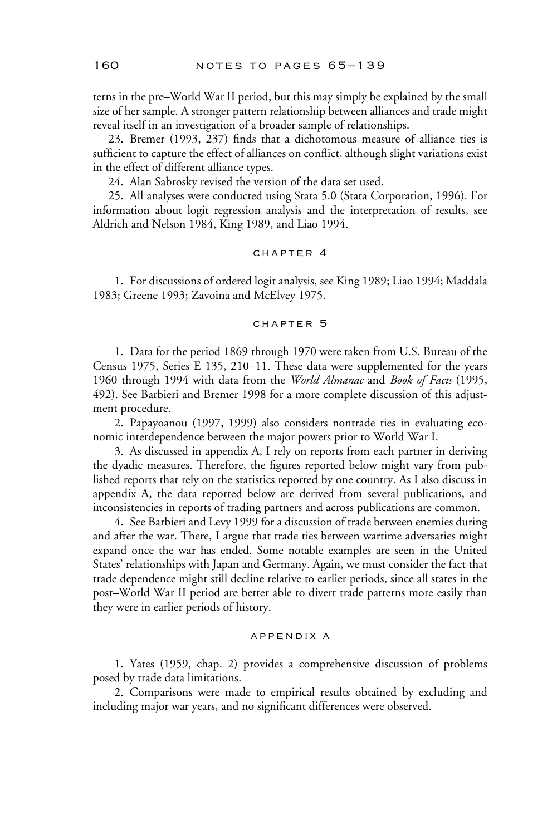terns in the pre–World War II period, but this may simply be explained by the small size of her sample. A stronger pattern relationship between alliances and trade might reveal itself in an investigation of a broader sample of relationships.

23. Bremer (1993, 237) finds that a dichotomous measure of alliance ties is sufficient to capture the effect of alliances on conflict, although slight variations exist in the effect of different alliance types.

24. Alan Sabrosky revised the version of the data set used.

25. All analyses were conducted using Stata 5.0 (Stata Corporation, 1996). For information about logit regression analysis and the interpretation of results, see Aldrich and Nelson 1984, King 1989, and Liao 1994.

### chapter 4

1. For discussions of ordered logit analysis, see King 1989; Liao 1994; Maddala 1983; Greene 1993; Zavoina and McElvey 1975.

## chapter 5

1. Data for the period 1869 through 1970 were taken from U.S. Bureau of the Census 1975, Series E 135, 210–11. These data were supplemented for the years 1960 through 1994 with data from the *World Almanac* and *Book of Facts* (1995, 492). See Barbieri and Bremer 1998 for a more complete discussion of this adjustment procedure.

2. Papayoanou (1997, 1999) also considers nontrade ties in evaluating economic interdependence between the major powers prior to World War I.

3. As discussed in appendix A, I rely on reports from each partner in deriving the dyadic measures. Therefore, the figures reported below might vary from published reports that rely on the statistics reported by one country. As I also discuss in appendix A, the data reported below are derived from several publications, and inconsistencies in reports of trading partners and across publications are common.

4. See Barbieri and Levy 1999 for a discussion of trade between enemies during and after the war. There, I argue that trade ties between wartime adversaries might expand once the war has ended. Some notable examples are seen in the United States' relationships with Japan and Germany. Again, we must consider the fact that trade dependence might still decline relative to earlier periods, since all states in the post–World War II period are better able to divert trade patterns more easily than they were in earlier periods of history.

### appendix a

1. Yates (1959, chap. 2) provides a comprehensive discussion of problems posed by trade data limitations.

2. Comparisons were made to empirical results obtained by excluding and including major war years, and no significant differences were observed.